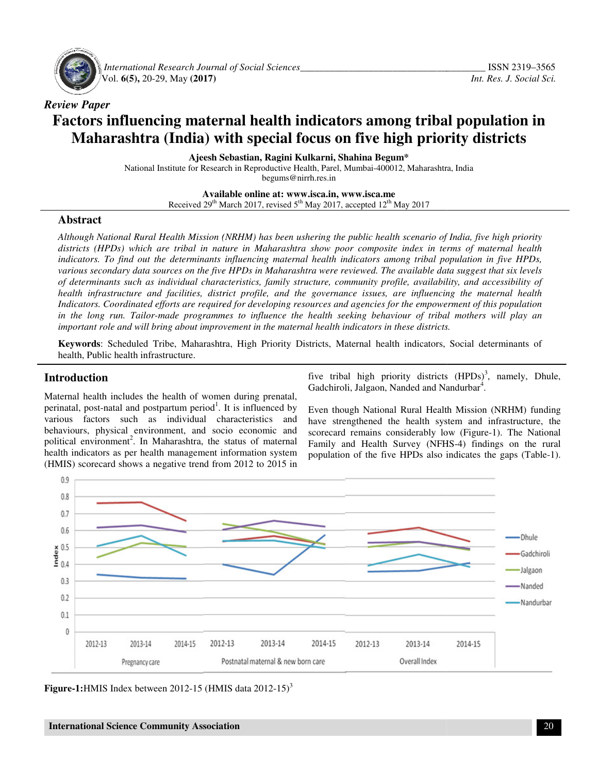

 *International Research Journal Journal of Social Sciences\_\_\_\_\_\_\_\_\_\_\_\_\_\_\_\_\_\_\_\_\_\_\_\_\_\_\_\_\_\_\_\_\_\_\_* Vol. **6(5),** 20-29, May **(2017)** 

# *Review Paper*  Factors influencing maternal health indicators among tribal population in **Maharashtra (India) with special focus on five high priority districts**

**Ajeesh Sebastian, Ragini Ajeesh Kulkarni, Shahina Begum\*** 

National Institute for Research in Reproductive Health, Parel, Mumbai-400012, Maharashtra, India

begums@nirrh.res.in

**Available Available online at: www.isca.in, www.isca.me**  Received 29<sup>th</sup> March 2017, revised 5<sup>th</sup> May 2017, accepted 12<sup>th</sup> May 2017

#### **Abstract**

*Although National Rural Health Mission (NRHM) has been ushering the public health scenario of India, five high priority*  Although National Rural Health Mission (NRHM) has been ushering the public health scenario of India, five high priority<br>districts (HPDs) which are tribal in nature in Maharashtra show poor composite index in terms of mater *indicators. To find out the determinants influencing maternal health indicators among tribal population in five HPDs HPDs,*  indicators. To find out the determinants influencing maternal health indicators among tribal population in five HPDs,<br>various secondary data sources on the five HPDs in Maharashtra were reviewed. The available data suggest *of determinants such as individual characteristics, family structure, community profile, availability, and accessibility of health infrastructure and facilities, district profile, and the governance issues, are influencing the maternal health Indicators. Coordinated efforts are required for developing resources and agencies for the empowerment of this population*  of determinants such as individual characteristics, family structure, community profile, availability, and accessibility of<br>health infrastructure and facilities, district profile, and the governance issues, are influencing *important role and will bring about improvement in the maternal health indicators in these districts.* 

Keywords: Scheduled Tribe, Maharashtra, High Priority Districts, Maternal health indicators, Social determinants of health, Public health infrastructure.

## **Introduction**

Maternal health includes the health of women during prenatal, perinatal, post-natal and postpartum period<sup>1</sup>. It is influenced by various factors such as individual characteristics and behaviours, physical environment, and socio economic and political environment<sup>2</sup>. In Maharashtra, the status of maternal health indicators as per health management information system (HMIS) scorecard shows a negative trend from 2012 to 2015 in Five tribal high priority districts (HPDs)<br>
Cadchiroli, Jalgaon, Nanded and Nandurbar<sup>4</sup>.<br>
Il and postpartum period<sup>1</sup>. It is influenced by<br>
such as individual characteristics and have strengthened the health system and<br>
c

Gadchiroli, Jalgaon, Nanded and Nandurbar<sup>4</sup>.  $3$ , namely, Dhule,

Even though National Rural Health Mission (NRHM) funding have strengthened the health system and infrastructure, the scorecard remains considerably low (Figure-1). The National Family and Health Survey (NFHS-4) findings on the rural population of the five HPDs also indicates the gaps (Table-1). Even though National Rural Health Mission (NRHM) funding<br>have strengthened the health system and infrastructure, the<br>scorecard remains considerably low (Figure-1). The National



Figure-1: HMIS Index between  $2012-15$  (HMIS data  $2012-15$ )<sup>3</sup>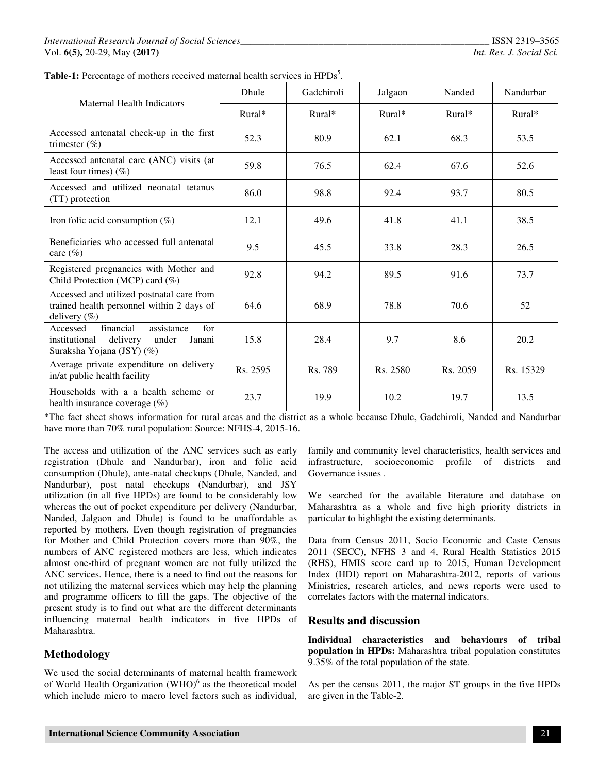|  |  | Table-1: Percentage of mothers received maternal health services in HPDs <sup>5</sup> . |  |  |  |  |  |  |
|--|--|-----------------------------------------------------------------------------------------|--|--|--|--|--|--|
|--|--|-----------------------------------------------------------------------------------------|--|--|--|--|--|--|

| Maternal Health Indicators                                                                                              | <b>Dhule</b> | Gadchiroli           | Jalgaon  | Nanded   | Nandurbar |
|-------------------------------------------------------------------------------------------------------------------------|--------------|----------------------|----------|----------|-----------|
|                                                                                                                         | $Rural*$     | $Rural*$<br>$Rural*$ |          | $Rural*$ | $Rural*$  |
| Accessed antenatal check-up in the first<br>trimester $(\% )$                                                           | 52.3         | 80.9                 | 62.1     | 68.3     | 53.5      |
| Accessed antenatal care (ANC) visits (at<br>least four times) $(\%)$                                                    | 59.8         | 76.5<br>62.4         |          | 67.6     | 52.6      |
| Accessed and utilized neonatal tetanus<br>(TT) protection                                                               | 86.0         | 98.8                 | 92.4     |          | 80.5      |
| Iron folic acid consumption $(\%)$                                                                                      | 12.1         | 49.6<br>41.8         |          | 41.1     | 38.5      |
| Beneficiaries who accessed full antenatal<br>care $(\% )$                                                               | 9.5          | 45.5                 | 33.8     | 28.3     | 26.5      |
| Registered pregnancies with Mother and<br>Child Protection (MCP) card (%)                                               | 92.8         | 94.2                 | 89.5     | 91.6     | 73.7      |
| Accessed and utilized postnatal care from<br>trained health personnel within 2 days of<br>delivery $(\%)$               | 64.6         | 68.9                 | 78.8     | 70.6     | 52        |
| financial<br>assistance<br>for<br>Accessed<br>delivery<br>institutional<br>under<br>Janani<br>Suraksha Yojana (JSY) (%) | 15.8         | 28.4                 | 9.7      | 8.6      | 20.2      |
| Average private expenditure on delivery<br>in/at public health facility                                                 | Rs. 2595     | Rs. 789              | Rs. 2580 | Rs. 2059 | Rs. 15329 |
| Households with a a health scheme or<br>health insurance coverage (%)                                                   | 23.7         | 19.9                 | 10.2     | 19.7     | 13.5      |

\*The fact sheet shows information for rural areas and the district as a whole because Dhule, Gadchiroli, Nanded and Nandurbar have more than 70% rural population: Source: NFHS-4, 2015-16.

The access and utilization of the ANC services such as early registration (Dhule and Nandurbar), iron and folic acid consumption (Dhule), ante-natal checkups (Dhule, Nanded, and Nandurbar), post natal checkups (Nandurbar), and JSY utilization (in all five HPDs) are found to be considerably low whereas the out of pocket expenditure per delivery (Nandurbar, Nanded, Jalgaon and Dhule) is found to be unaffordable as reported by mothers. Even though registration of pregnancies for Mother and Child Protection covers more than 90%, the numbers of ANC registered mothers are less, which indicates almost one-third of pregnant women are not fully utilized the ANC services. Hence, there is a need to find out the reasons for not utilizing the maternal services which may help the planning and programme officers to fill the gaps. The objective of the present study is to find out what are the different determinants influencing maternal health indicators in five HPDs of Maharashtra.

# **Methodology**

We used the social determinants of maternal health framework of World Health Organization  $(WHO)^6$  as the theoretical model which include micro to macro level factors such as individual,

family and community level characteristics, health services and infrastructure, socioeconomic profile of districts and Governance issues .

We searched for the available literature and database on Maharashtra as a whole and five high priority districts in particular to highlight the existing determinants.

Data from Census 2011, Socio Economic and Caste Census 2011 (SECC), NFHS 3 and 4, Rural Health Statistics 2015 (RHS), HMIS score card up to 2015, Human Development Index (HDI) report on Maharashtra-2012, reports of various Ministries, research articles, and news reports were used to correlates factors with the maternal indicators.

## **Results and discussion**

**Individual characteristics and behaviours of tribal population in HPDs:** Maharashtra tribal population constitutes 9.35% of the total population of the state.

As per the census 2011, the major ST groups in the five HPDs are given in the Table-2.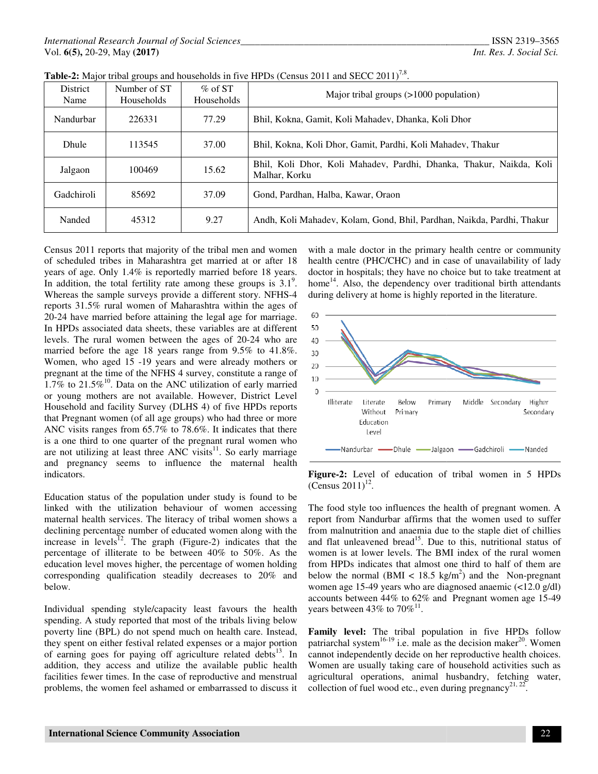| District<br>Name                                                                                                              | Number of ST<br>Households | $\%$ of ST<br>Households | Major tribal groups $(>1000$ population)                                             |  |  |  |  |
|-------------------------------------------------------------------------------------------------------------------------------|----------------------------|--------------------------|--------------------------------------------------------------------------------------|--|--|--|--|
| Nandurbar                                                                                                                     | 226331                     | 77.29                    | Bhil, Kokna, Gamit, Koli Mahadev, Dhanka, Koli Dhor                                  |  |  |  |  |
| Dhule                                                                                                                         | 113545                     | 37.00                    | Bhil, Kokna, Koli Dhor, Gamit, Pardhi, Koli Mahadev, Thakur                          |  |  |  |  |
| Jalgaon                                                                                                                       | 100469                     | 15.62                    | Bhil, Koli Dhor, Koli Mahadev, Pardhi, Dhanka, Thakur, Naikda, Koli<br>Malhar, Korku |  |  |  |  |
| Gadchiroli<br>85692<br>37.09<br>Gond, Pardhan, Halba, Kawar, Oraon                                                            |                            |                          |                                                                                      |  |  |  |  |
| Nanded                                                                                                                        | 45312                      | 9.27                     | Andh, Koli Mahadev, Kolam, Gond, Bhil, Pardhan, Naikda, Pardhi, Thakur               |  |  |  |  |
| with a male doctor in the primary health centre or community<br>Census 2011 reports that majority of the tribal men and women |                            |                          |                                                                                      |  |  |  |  |

Table-2: Major tribal groups and households in five HPDs (Census 2011 and SECC 2011)<sup>7,8</sup>.

Census 2011 reports that majority of the tribal men and women of scheduled tribes in Maharashtra get married at or after 18 years of age. Only 1.4% is reportedly married before 18 years. Census 2011 reports that majority of the tribal men and women<br>of scheduled tribes in Maharashtra get married at or after 18<br>years of age. Only 1.4% is reportedly married before 18 years.<br>In addition, the total fertility r Whereas the sample surveys provide a different story. NFHS-4 reports 31.5% rural women of Maharashtra within the ages of 20-24 have married before attaining the legal age for marriage. In HPDs associated data sheets, these variables are at different levels. The rural women between the ages of 20 married before the age 18 years range from 9.5% to 41.8%. Women, who aged 15 -19 years and were already mothers or pregnant at the time of the NFHS 4 survey, constitute a range of  $1.7\%$  to  $21.5\%$ <sup>10</sup>. Data on the ANC utilization of early married or young mothers are not available. However, District Level Household and facility Survey (DLHS 4) of five HPDs reports that Pregnant women (of all age groups) who had three or more ANC visits ranges from 65.7% to 78.6%. It indicates that there is a one third to one quarter of the pregnant rural women who are not utilizing at least three ANC visits $11$ . So early marriage and pregnancy seems to influence the maternal health indicators. orts 31.5% rural women of Maharashtra within the ages of 24 have married before attaining the legal age for marriage. HPDs associated data sheets, these variables are at different els. The rural women between the ages of 2 age 18 years range from 9.5% to 41.8%.<br>15 -19 years and were already mothers or<br>2 of the NFHS 4 survey, constitute a range of<br>2 Data on the ANC utilization of early married<br>are not available. However, District Level<br>lilty is a one third to one quarter of the pregnant rural women who<br>are not utilizing at least three ANC visits<sup>11</sup>. So early marriage<br>and pregnancy seems to influence the maternal health<br>indicators.<br>Education status of the popu Census 2011 reports and the proplems of the trial men and women with a male doctor in the primary health centre or comparison of a male and the problems. The problems are also the comparison of the accuration of the accur

Education status of the population under study is found to be linked with the utilization behaviour of women accessing maternal health services. The literacy of tribal women shows a declining percentage number of educated women along with the declining percentage number of educated women along with the increase in levels<sup>12</sup>. The graph (Figure-2) indicates that the percentage of illiterate to be between 40% to 50%. As the percentage of illiterate to be between 40% to 50%. As the education level moves higher, the percentage of women holding corresponding qualification steadily decreases to 20% and<br>below.<br>Individual spending style/capacity least favours the health below.

Individual spending style/capacity least favours the health spending. A study reported that most of the tribals living below poverty line (BPL) do not spend much on health care. Instead, they spent on either festival related expenses or a major portion of earning goes for paying off agriculture related debts<sup>13</sup>. In addition, they access and utilize the available public health facilities fewer times. In the case of reproductive and menstrual problems, the women feel ashamed or embarrassed to discuss it nding. A study reported that most of the tribals living below<br>verty line (BPL) do not spend much on health care. Instead,<br>y spent on either festival related expenses or a major portion<br>earning goes for paying off agricultu

health centre (PHC/CHC) and in case of unavailability of lady health centre (PHC/CHC) and in case of unavailability of lady doctor in hospitals; they have no choice but to take treatment at home<sup>14</sup>. Also, the dependency over traditional birth attendants during delivery at home is highly reported in the literature. during delivery at home is highly reported in the literature.



**Figure-2:** Level of education of tribal women in 5 HPDs  $(Census 2011)^{12}$ .

The food style too influences the health of pregnant women. A report from Nandurbar affirms that the women used to suffer from malnutrition and anaemia due to the staple diet of chillies and flat unleavened bread<sup>15</sup>. Due to this, nutritional status of women is at lower levels. The BMI index of the rural women from HPDs indicates that almost one third to half of them are below the normal (BMI  $<$  18.5 kg/m<sup>2</sup>) and the Non-pregnant women age 15-49 years who are diagnosed anaemic  $\left($ <12.0 g/dl) accounts between 44% to 62% and Pregnant women age 15-49 years between 43% to  $70\%$ <sup>11</sup>. **Figure-2:** Level of education of tribal women in 5 HI (Census 2011)<sup>12</sup>.<br>The food style too influences the health of pregnant women report from Nandurbar affirms that the women used to su from malnutrition and anaemia du

**Family level:** The tribal population in five HPDs follow **Family level:** The tribal population in five HPDs follow patriarchal system<sup>16-19</sup> i.e. male as the decision maker<sup>20</sup>. Women cannot independently decide on her reproductive health choices. Women are usually taking care of household activities such as cannot independently decide on her reproductive health choices.<br>Women are usually taking care of household activities such as<br>agricultural operations, animal husbandry, fetching water,<br>collection of fuel wood ate, away dur collection of fuel wood etc., even during pregnancy<sup>21, 22</sup> .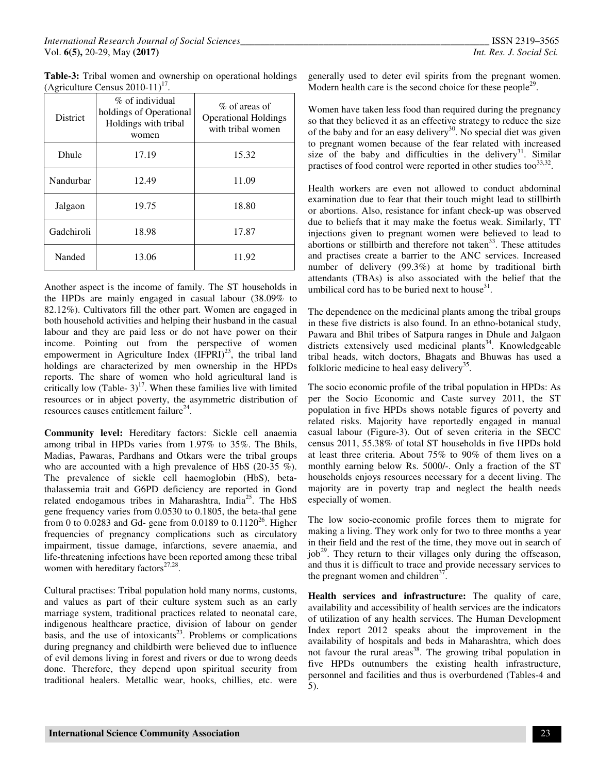| Table-3: Tribal women and ownership on operational holdings |  |  |  |
|-------------------------------------------------------------|--|--|--|
| (Agriculture Census $2010-11$ ) <sup>17</sup> .             |  |  |  |

| <b>District</b> | % of individual<br>holdings of Operational<br>Holdings with tribal<br>women | $\%$ of areas of<br><b>Operational Holdings</b><br>with tribal women |  |  |  |
|-----------------|-----------------------------------------------------------------------------|----------------------------------------------------------------------|--|--|--|
| Dhule           | 17.19                                                                       | 15.32                                                                |  |  |  |
| Nandurbar       | 12.49                                                                       | 11.09                                                                |  |  |  |
| Jalgaon         | 19.75                                                                       | 18.80                                                                |  |  |  |
| Gadchiroli      | 18.98                                                                       | 17.87                                                                |  |  |  |
| Nanded          | 13.06                                                                       | 11.92                                                                |  |  |  |

Another aspect is the income of family. The ST households in the HPDs are mainly engaged in casual labour (38.09% to 82.12%). Cultivators fill the other part. Women are engaged in both household activities and helping their husband in the casual labour and they are paid less or do not have power on their income. Pointing out from the perspective of women empowerment in Agriculture Index  $(IFPRI)^{23}$ , the tribal land holdings are characterized by men ownership in the HPDs reports. The share of women who hold agricultural land is critically low (Table-  $3$ )<sup>17</sup>. When these families live with limited resources or in abject poverty, the asymmetric distribution of resources causes entitlement failure<sup>24</sup>.

**Community level:** Hereditary factors: Sickle cell anaemia among tribal in HPDs varies from 1.97% to 35%. The Bhils, Madias, Pawaras, Pardhans and Otkars were the tribal groups who are accounted with a high prevalence of HbS (20-35 %). The prevalence of sickle cell haemoglobin (HbS), betathalassemia trait and G6PD deficiency are reported in Gond related endogamous tribes in Maharashtra, India<sup>25</sup>. The HbS gene frequency varies from 0.0530 to 0.1805, the beta-thal gene from 0 to 0.0283 and Gd- gene from 0.0189 to 0.1120<sup>26</sup>. Higher frequencies of pregnancy complications such as circulatory impairment, tissue damage, infarctions, severe anaemia, and life-threatening infections have been reported among these tribal women with hereditary factors $27,28$ .

Cultural practises: Tribal population hold many norms, customs, and values as part of their culture system such as an early marriage system, traditional practices related to neonatal care, indigenous healthcare practice, division of labour on gender basis, and the use of intoxicants $2<sup>3</sup>$ . Problems or complications during pregnancy and childbirth were believed due to influence of evil demons living in forest and rivers or due to wrong deeds done. Therefore, they depend upon spiritual security from traditional healers. Metallic wear, hooks, chillies, etc. were generally used to deter evil spirits from the pregnant women. Modern health care is the second choice for these people<sup>29</sup>.

Women have taken less food than required during the pregnancy so that they believed it as an effective strategy to reduce the size of the baby and for an easy delivery<sup>30</sup>. No special diet was given to pregnant women because of the fear related with increased size of the baby and difficulties in the delivery<sup>31</sup>. Similar practises of food control were reported in other studies too $33,32$ .

Health workers are even not allowed to conduct abdominal examination due to fear that their touch might lead to stillbirth or abortions. Also, resistance for infant check-up was observed due to beliefs that it may make the foetus weak. Similarly, TT injections given to pregnant women were believed to lead to abortions or stillbirth and therefore not taken<sup>33</sup>. These attitudes and practises create a barrier to the ANC services. Increased number of delivery (99.3%) at home by traditional birth attendants (TBAs) is also associated with the belief that the umbilical cord has to be buried next to house $31$ .

The dependence on the medicinal plants among the tribal groups in these five districts is also found. In an ethno-botanical study, Pawara and Bhil tribes of Satpura ranges in Dhule and Jalgaon districts extensively used medicinal plants<sup>34</sup>. Knowledgeable tribal heads, witch doctors, Bhagats and Bhuwas has used a folkloric medicine to heal easy delivery<sup>35</sup>.

The socio economic profile of the tribal population in HPDs: As per the Socio Economic and Caste survey 2011, the ST population in five HPDs shows notable figures of poverty and related risks. Majority have reportedly engaged in manual casual labour (Figure-3). Out of seven criteria in the SECC census 2011, 55.38% of total ST households in five HPDs hold at least three criteria. About 75% to 90% of them lives on a monthly earning below Rs. 5000/-. Only a fraction of the ST households enjoys resources necessary for a decent living. The majority are in poverty trap and neglect the health needs especially of women.

The low socio-economic profile forces them to migrate for making a living. They work only for two to three months a year in their field and the rest of the time, they move out in search of job<sup>29</sup>. They return to their villages only during the offseason, and thus it is difficult to trace and provide necessary services to the pregnant women and children $37$ .

**Health services and infrastructure:** The quality of care, availability and accessibility of health services are the indicators of utilization of any health services. The Human Development Index report 2012 speaks about the improvement in the availability of hospitals and beds in Maharashtra, which does not favour the rural areas<sup>38</sup>. The growing tribal population in five HPDs outnumbers the existing health infrastructure, personnel and facilities and thus is overburdened (Tables-4 and 5).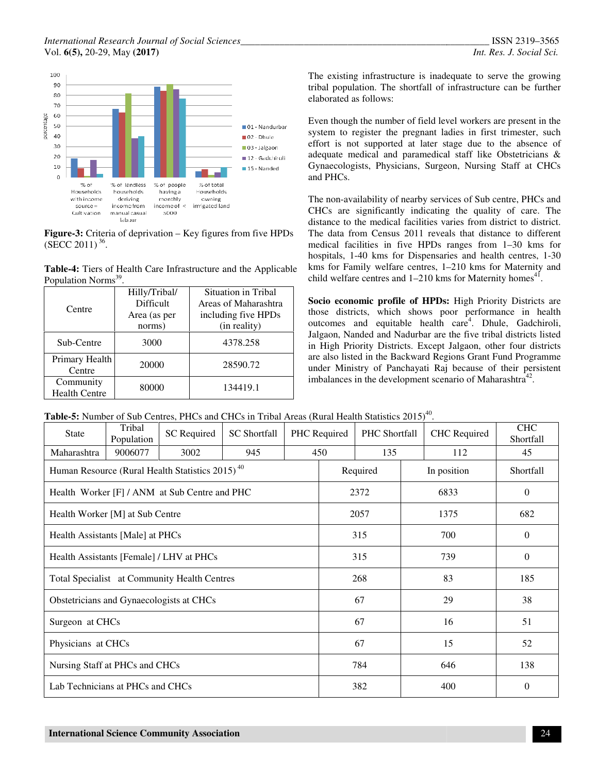#### *International Research Journal of Social Sciences\_\_ Sciences\_\_\_\_\_\_\_\_\_\_\_\_\_\_\_\_\_\_\_\_\_\_\_\_\_\_\_\_\_\_\_\_\_\_\_\_\_\_\_\_\_\_\_\_\_\_\_\_\_\_\_*  Vol. **6(5),** 20-29, May **(2017)**



Households households having a Households with income monthly deriving owning income of  $\leq$ income from irrrigated land ource Cultivation manual casual 5000 labour

**Figure-3:** Criteria of deprivation – Key figures from five HPDs  $(SECC 2011)<sup>36</sup>.$ Figures from five HPDs<br>
11)<sup>36</sup>.<br>
Tiers of Health Care Infrastructure and the Applicable<br>
<u>n Norms<sup>39</sup>.</u><br>
Hilly/Tribal/ Situation in Tribal

**Table-4:** Tiers of Health Care Infrastructure and the Applicable Population Norms<sup>39</sup> .

| Centre                            | Hilly/Tribal/<br>Difficult<br>Area (as per | Situation in Tribal<br>Areas of Maharashtra<br>including five HPDs |  |  |  |  |
|-----------------------------------|--------------------------------------------|--------------------------------------------------------------------|--|--|--|--|
|                                   | norms)                                     | (in reality)                                                       |  |  |  |  |
| Sub-Centre                        | 3000                                       | 4378.258                                                           |  |  |  |  |
| Primary Health<br>Centre          | 20000                                      | 28590.72                                                           |  |  |  |  |
| Community<br><b>Health Centre</b> | 80000                                      | 134419.1                                                           |  |  |  |  |

tribal population. The shortfall of infrastructure can be further elaborated as follows:

Even though the number of field level workers are present in the system to register the pregnant ladies in first trimester, such effort is not supported at later stage due to the absence of adequate medical and paramedical staff like Obstetricians & Gynaecologists, Physicians, Surgeon, Nursing Staff at CHCs and PHCs. The existing infrastructure is inadequate to serve the growing<br>tribal population. The shortfall of infrastructure can be further<br>elaborated as follows:<br>Even though the number of field level workers are present in the<br>syste

The existing infrastructure is inadequate to serve the growing<br>
tribal population. The shortfall of infrastructure can be further<br>
elaborated as follows:<br>
Even though the number of field level workers are present in the<br> The non-availability of nearby services of Sub centre, PHCs and CHCs are significantly indicating the quality of care. The distance to the medical facilities varies from district to district. The data from Census 2011 reveals that distance to different The data from Census 2011 reveals that distance to different medical facilities in five HPDs ranges from 1–30 kms for hospitals, 1-40 kms for Dispensaries and health centres, 1-30 kms for Family welfare centres, 1-210 kms for Maternity and child welfare centres and  $1-210$  kms for Maternity homes<sup>41</sup>.

Socio economic profile of HPDs: High Priority Districts are those districts, which shows poor performance in health outcomes and equitable health care<sup>4</sup>. Dhule, Gadchiroli, Jalgaon, Nanded and Nadurbar are the five tribal districts listed in High Priority Districts. Except Jalgaon, other four districts are also listed in the Backward Regions Grant Fund Programme under Ministry of Panchayati Raj because of their persistent imbalances in the development scenario of Maharashtra $42$ . Districts. Except Jalgaon, other four of<br>the Backward Regions Grant Fund Prog<br>of Panchayati Raj because of their pe<br>e development scenario of Maharashtra<sup>42</sup>

Table-5: Number of Sub Centres, PHCs and CHCs in Tribal Areas (Rural Health Statistics 2015)<sup>40</sup>.

| <b>State</b>                                 | Tribal<br>Population | <b>SC</b> Required                                          | <b>SC</b> Shortfall |     | PHC Shortfall<br>PHC Required |     |             | <b>CHC</b> Required | <b>CHC</b><br>Shortfall |
|----------------------------------------------|----------------------|-------------------------------------------------------------|---------------------|-----|-------------------------------|-----|-------------|---------------------|-------------------------|
| Maharashtra                                  | 9006077              | 3002                                                        | 945                 |     | 450                           | 135 | 112         |                     | 45                      |
|                                              |                      | Human Resource (Rural Health Statistics 2015) <sup>40</sup> |                     |     | Required                      |     | In position |                     | Shortfall               |
|                                              |                      | Health Worker [F] / ANM at Sub Centre and PHC               |                     |     | 2372                          |     | 6833        |                     | $\theta$                |
| Health Worker [M] at Sub Centre              |                      |                                                             |                     |     | 2057                          |     | 1375        |                     | 682                     |
| Health Assistants [Male] at PHCs             |                      |                                                             |                     |     | 315                           |     | 700         |                     | $\theta$                |
| Health Assistants [Female] / LHV at PHCs     |                      |                                                             |                     |     | 315                           |     |             | 739                 | $\theta$                |
| Total Specialist at Community Health Centres |                      |                                                             |                     |     |                               | 268 |             | 83                  | 185                     |
| Obstetricians and Gynaecologists at CHCs     |                      |                                                             |                     |     | 67                            |     |             | 29                  | 38                      |
| Surgeon at CHCs                              |                      |                                                             |                     |     | 67                            |     |             | 16                  | 51                      |
| Physicians at CHCs                           |                      |                                                             |                     |     | 67                            |     |             | 15                  | 52                      |
| Nursing Staff at PHCs and CHCs               |                      |                                                             |                     |     | 784                           |     |             | 646                 | 138                     |
| Lab Technicians at PHCs and CHCs             |                      |                                                             |                     | 382 |                               |     | 400         | 0                   |                         |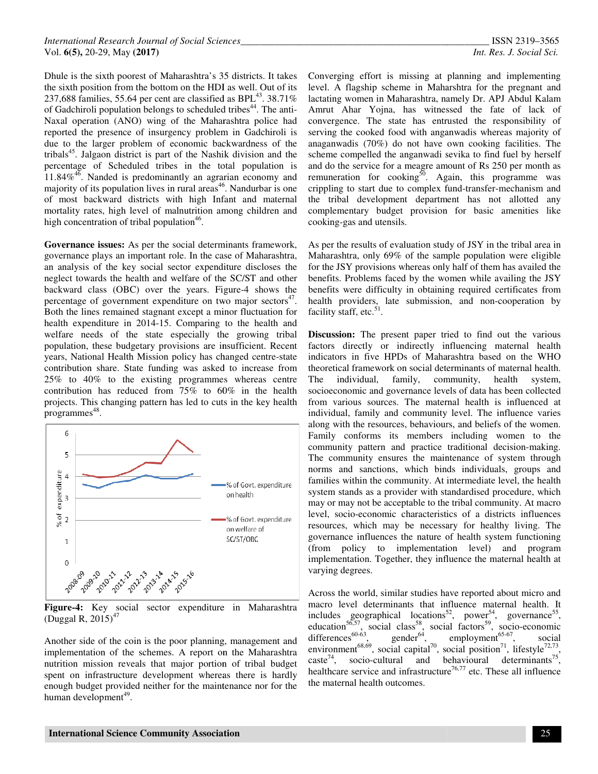Dhule is the sixth poorest of Maharashtra's 35 districts. It takes the sixth position from the bottom on the HDI as well. Out of its Dhule is the sixth poorest of Maharashtra's 35 districts. It takes the sixth position from the bottom on the HDI as well. Out of its 237,688 families, 55.64 per cent are classified as BPL<sup>43</sup>. 38.71% of Gadchiroli population belongs to scheduled tribes<sup>44</sup>. The anti-Naxal operation (ANO) wing of the Maharashtra police had reported the presence of insurgency problem in Gadchiroli is due to the larger problem of economic backwardness of the tribals<sup>45</sup>. Jalgaon district is part of the Nashik division and the percentage of Scheduled tribes in the total population is  $11.84\%$ <sup>46</sup>. Nanded is predominantly an agrarian economy and majority of its population lives in rural  $area<sup>46</sup>$ . Nandurbar is one of most backward districts with high Infant and maternal mortality rates, high level of malnutrition among children and high concentration of tribal population<sup>46</sup>. peration (ANO) wing of the Maharashtra police had<br>1 the presence of insurgency problem in Gadchiroli is<br>the larger problem of economic backwardness of the<br>1 Jalgaon district is part of the Nashik division and the<br>ge of Sc backward districts with high Infant and maternal<br>rates, high level of malnutrition among children and<br>entration of tribal population<sup>46</sup>.<br>**ace issues:** As per the social determinants framework,<br>e plays an important role. I

**Governance issues:** As per the social determinants framework, governance plays an important role. In the case of Maharashtra, an analysis of the key social sector expenditure neglect towards the health and welfare of the SC/ST and other neglect towards the health and welfare of the SC/ST and other<br>backward class (OBC) over the years. Figure-4 shows the percentage of government expenditure on two major sectors<sup>47</sup>. Both the lines remained stagnant except a minor fluctuation for health expenditure in 2014-15. Comparing to the health and welfare needs of the state especially the growing tribal population, these budgetary provisions are insufficient. Recent years, National Health Mission policy has changed centre contribution share. State funding was asked to increase from 25% to 40% to the existing programmes whereas centre contribution has reduced from 75% to 60% in the health projects. This changing pattern has led to cuts in the key health programmes<sup>48</sup>. es remained stagnant except a minor fluctuation for nditure in 2014-15. Comparing to the health and reds of the state especially the growing tribal these budgetary provisions are insufficient. Recent nal Health Mission pol



**Figure-4:** Key social sector expenditure in Maharashtra (Duggal R,  $2015$ )<sup>47</sup>

Another side of the coin is the poor planning, management and implementation of the schemes. A report on the Maharashtra nutrition mission reveals that major portion of tribal budget spent on infrastructure development whereas there is hardly enough budget provided neither for the maintenance nor for the human development<sup>49</sup>.

level. A flagship scheme in Maharshtra for the pregn lactating women in Maharashtra, namely Dr. APJ Abdul Kalam Amrut Ahar Yojna, has witnessed the fate of lack of convergence. The state has entrusted the responsibility of serving the cooked food with anganwadis whereas majority of anaganwadis (70%) do not have own cooking facilities. The scheme compelled the anganwadi sevika to find fuel by herself and do the service for a meagre amount of Rs 250 per month as remuneration for cooking<sup>50</sup>. Again, this programme was crippling to start due to complex fund-transfer-mechanism and the tribal development department has not allotted any complementary budget provision for basic amenities like cooking-gas and utensils. Converging effort is missing at planning and implementing lactating women in Maharashtra, namely Dr. APJ Abdul Kalam<br>Amrut Ahar Yojna, has witnessed the fate of lack of<br>convergence. The state has entrusted the responsibility of<br>serving the cooked food with anganwadis whereas maj

As per the results of evaluation study of JSY in the tribal area in Maharashtra, only 69% of the sample population were eligible for the JSY provisions whereas only half of them has availed the benefits. Problems faced by the women while availing the JSY benefits were difficulty in obtaining required certificates from complementary budget provision for basic amenities like<br>cooking-gas and utensils.<br>As per the results of evaluation study of JSY in the tribal area in<br>Maharashtra, only 69% of the sample population were eligible<br>for the JSY facility staff, etc. $51$ .

Dubit is the state point of distance in the mission in pattern social Another State Another State Another State Another State Another State Another State Another State Another State Another State Another State Another Sta **Discussion:** The present paper tried to find out the various factors directly or indirectly influencing maternal health indicators in five HPDs of Maharashtra based on the WHO theoretical framework on social determinants of maternal health. The individual, family, community, health system, theoretical framework on social determinants of maternal health.<br>The individual, family, community, health system,<br>socioeconomic and governance levels of data has been collected from various sources. The maternal health is influenced at from various sources. The maternal health is influenced at individual, family and community level. The influence varies along with the resources, behaviours, and beliefs of the women. Family conforms its members including women to the along with the resources, behaviours, and beliefs of the women.<br>Family conforms its members including women to the<br>community pattern and practice traditional decision-making. The community ensures the maintenance of system through norms and sanctions, which binds individuals, groups and families within the community. At intermediate level, the health system stands as a provider with standardised procedure, which may or may not be acceptable to the tribal community. At macro level, socio-economic characteristics of a districts influences resources, which may be necessary for healthy living. The governance influences the nature of health system functioning (from policy to implementation level) and program implementation. Together, they influence the maternal health at varying degrees. **Discussion:** The present paper tried to find out the various factors directly or indirectly influencing maternal health indicators in five HPDs of Maharashtra based on the WHO community ensures the maintenance of system through<br>is and sanctions, which binds individuals, groups and<br>ies within the community. At intermediate level, the health<br>m stands as a provider with standardised procedure, whic

Across the world, similar studies have reported about micro and macro level determinants that influence maternal health. It includes geographical locations<sup>52</sup> education<sup>56,57</sup>, social class<sup>58</sup>, social factors differences<sup>60-63</sup>, gender<sup>64</sup>, employment environment<sup>68,69</sup>, social capital<sup>70</sup>, social position caste<sup>74</sup>, socio-cultural and behavioural determinants healthcare service and infrastructure<sup>76,77</sup> etc. These all influence the maternal health outcomes. the world, similar studies have reported about micro and<br>level determinants that influence maternal health. It<br>s geographical locations<sup>52</sup>, power<sup>54</sup>, governance<sup>55</sup>, factors<sup>59</sup>, socio-economic 65-67, social  $^{71}$ , lifestyle $^{72,73}$ , cultural and behavioural determinants<sup>75</sup>,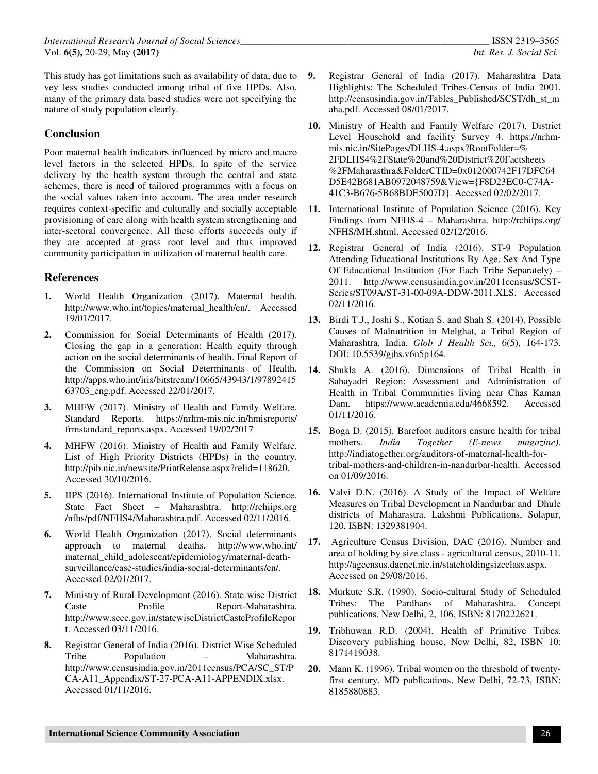This study has got limitations such as availability of data, due to vey less studies conducted among tribal of five HPDs. Also, many of the primary data based studies were not specifying the nature of study population clearly.

# **Conclusion**

Poor maternal health indicators influenced by micro and macro level factors in the selected HPDs. In spite of the service delivery by the health system through the central and state schemes, there is need of tailored programmes with a focus on the social values taken into account. The area under research requires context-specific and culturally and socially acceptable provisioning of care along with health system strengthening and inter-sectoral convergence. All these efforts succeeds only if they are accepted at grass root level and thus improved community participation in utilization of maternal health care.

## **References**

- **1.** World Health Organization (2017). Maternal health. http://www.who.int/topics/maternal\_health/en/. Accessed 19/01/2017.
- **2.** Commission for Social Determinants of Health (2017). Closing the gap in a generation: Health equity through action on the social determinants of health. Final Report of the Commission on Social Determinants of Health. http://apps.who.int/iris/bitstream/10665/43943/1/97892415 63703\_eng.pdf. Accessed 22/01/2017.
- **3.** MHFW (2017). Ministry of Health and Family Welfare. Standard Reports. https://nrhm-mis.nic.in/hmisreports/ frmstandard\_reports.aspx. Accessed 19/02/2017
- **4.** MHFW (2016). Ministry of Health and Family Welfare. List of High Priority Districts (HPDs) in the country. http://pib.nic.in/newsite/PrintRelease.aspx?relid=118620. Accessed 30/10/2016.
- **5.** IIPS (2016). International Institute of Population Science. State Fact Sheet – Maharashtra. http://rchiips.org /nfhs/pdf/NFHS4/Maharashtra.pdf. Accessed 02/11/2016.
- **6.** World Health Organization (2017). Social determinants approach to maternal deaths. http://www.who.int/ maternal\_child\_adolescent/epidemiology/maternal-deathsurveillance/case-studies/india-social-determinants/en/. Accessed 02/01/2017.
- **7.** Ministry of Rural Development (2016). State wise District Caste Profile Report-Maharashtra. http://www.secc.gov.in/statewiseDistrictCasteProfileRepor t. Accessed 03/11/2016.
- **8.** Registrar General of India (2016). District Wise Scheduled Tribe Population – Maharashtra. http://www.censusindia.gov.in/2011census/PCA/SC\_ST/P CA-A11\_Appendix/ST-27-PCA-A11-APPENDIX.xlsx. Accessed 01/11/2016.
- **9.** Registrar General of India (2017). Maharashtra Data Highlights: The Scheduled Tribes-Census of India 2001. http://censusindia.gov.in/Tables\_Published/SCST/dh\_st\_m aha.pdf. Accessed 08/01/2017.
- **10.** Ministry of Health and Family Welfare (2017). District Level Household and facility Survey 4. https://nrhmmis.nic.in/SitePages/DLHS-4.aspx?RootFolder=% 2FDLHS4%2FState%20and%20District%20Factsheets %2FMaharasthra&FolderCTID=0x012000742F17DFC64 D5E42B681AB0972048759&View={F8D23EC0-C74A-41C3-B676-5B68BDE5007D}. Accessed 02/02/2017.
- **11.** International Institute of Population Science (2016). Key Findings from NFHS-4 – Maharashtra. http://rchiips.org/ NFHS/MH.shtml. Accessed 02/12/2016.
- **12.** Registrar General of India (2016). ST-9 Population Attending Educational Institutions By Age, Sex And Type Of Educational Institution (For Each Tribe Separately) – 2011. http://www.censusindia.gov.in/2011census/SCST-Series/ST09A/ST-31-00-09A-DDW-2011.XLS. Accessed 02/11/2016.
- **13.** Birdi T.J., Joshi S., Kotian S. and Shah S. (2014). Possible Causes of Malnutrition in Melghat, a Tribal Region of Maharashtra, India. *Glob J Health Sci.,* 6(5), 164-173. DOI: 10.5539/gjhs.v6n5p164.
- **14.** Shukla A. (2016). Dimensions of Tribal Health in Sahayadri Region: Assessment and Administration of Health in Tribal Communities living near Chas Kaman Dam. https://www.academia.edu/4668592. Accessed 01/11/2016.
- **15.** Boga D. (2015). Barefoot auditors ensure health for tribal mothers. *India Together (E-news magazine)*. http://indiatogether.org/auditors-of-maternal-health-fortribal-mothers-and-children-in-nandurbar-health. Accessed on 01/09/2016.
- **16.** Valvi D.N. (2016). A Study of the Impact of Welfare Measures on Tribal Development in Nandurbar and Dhule districts of Maharastra. Lakshmi Publications, Solapur, 120, ISBN: 1329381904.
- **17.** Agriculture Census Division, DAC (2016). Number and area of holding by size class - agricultural census, 2010-11. http://agcensus.dacnet.nic.in/stateholdingsizeclass.aspx. Accessed on 29/08/2016.
- **18.** Murkute S.R. (1990). Socio-cultural Study of Scheduled Tribes: The Pardhans of Maharashtra. Concept publications, New Delhi, 2, 106, ISBN: 8170222621.
- **19.** Tribhuwan R.D. (2004). Health of Primitive Tribes. Discovery publishing house, New Delhi, 82, ISBN 10: 8171419038.
- **20.** Mann K. (1996). Tribal women on the threshold of twentyfirst century. MD publications, New Delhi, 72-73, ISBN: 8185880883.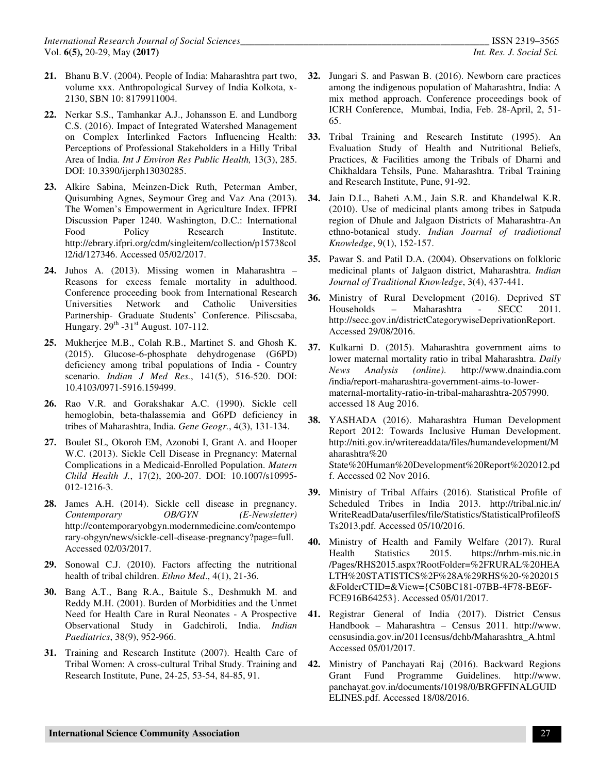- **21.** Bhanu B.V. (2004). People of India: Maharashtra part two, volume xxx. Anthropological Survey of India Kolkota, x-2130, SBN 10: 8179911004.
- **22.** Nerkar S.S., Tamhankar A.J., Johansson E. and Lundborg C.S. (2016). Impact of Integrated Watershed Management on Complex Interlinked Factors Influencing Health: Perceptions of Professional Stakeholders in a Hilly Tribal Area of India. *Int J Environ Res Public Health,* 13(3), 285. DOI: 10.3390/ijerph13030285.
- **23.** Alkire Sabina, Meinzen-Dick Ruth, Peterman Amber, Quisumbing Agnes, Seymour Greg and Vaz Ana (2013). The Women's Empowerment in Agriculture Index. IFPRI Discussion Paper 1240. Washington, D.C.: International Food Policy Research Institute. http://ebrary.ifpri.org/cdm/singleitem/collection/p15738col l2/id/127346. Accessed 05/02/2017.
- **24.** Juhos A. (2013). Missing women in Maharashtra Reasons for excess female mortality in adulthood. Conference proceeding book from International Research Universities Network and Catholic Universities Partnership- Graduate Students' Conference. Piliscsaba, Hungary.  $29<sup>th</sup> -31<sup>st</sup>$  August. 107-112.
- **25.** Mukherjee M.B., Colah R.B., Martinet S. and Ghosh K. (2015). Glucose-6-phosphate dehydrogenase (G6PD) deficiency among tribal populations of India - Country scenario. *Indian J Med Res.*, 141(5), 516-520. DOI: 10.4103/0971-5916.159499.
- **26.** Rao V.R. and Gorakshakar A.C. (1990). Sickle cell hemoglobin, beta-thalassemia and G6PD deficiency in tribes of Maharashtra, India. *Gene Geogr.*, 4(3), 131-134.
- **27.** Boulet SL, Okoroh EM, Azonobi I, Grant A. and Hooper W.C. (2013). Sickle Cell Disease in Pregnancy: Maternal Complications in a Medicaid-Enrolled Population. *Matern Child Health J.*, 17(2), 200-207. DOI: 10.1007/s10995- 012-1216-3.
- **28.** James A.H. (2014). Sickle cell disease in pregnancy. *Contemporary OB/GYN (E-Newsletter)* http://contemporaryobgyn.modernmedicine.com/contempo rary-obgyn/news/sickle-cell-disease-pregnancy?page=full. Accessed 02/03/2017.
- **29.** Sonowal C.J. (2010). Factors affecting the nutritional health of tribal children. *Ethno Med*., 4(1), 21-36.
- **30.** Bang A.T., Bang R.A., Baitule S., Deshmukh M. and Reddy M.H. (2001). Burden of Morbidities and the Unmet Need for Health Care in Rural Neonates - A Prospective Observational Study in Gadchiroli, India. *Indian Paediatrics*, 38(9), 952-966.
- **31.** Training and Research Institute (2007). Health Care of Tribal Women: A cross-cultural Tribal Study. Training and Research Institute, Pune, 24-25, 53-54, 84-85, 91.
- **32.** Jungari S. and Paswan B. (2016). Newborn care practices among the indigenous population of Maharashtra, India: A mix method approach. Conference proceedings book of ICRH Conference, Mumbai, India, Feb. 28-April, 2, 51- 65.
- **33.** Tribal Training and Research Institute (1995). An Evaluation Study of Health and Nutritional Beliefs, Practices, & Facilities among the Tribals of Dharni and Chikhaldara Tehsils, Pune. Maharashtra. Tribal Training and Research Institute, Pune, 91-92.
- **34.** Jain D.L., Baheti A.M., Jain S.R. and Khandelwal K.R. (2010). Use of medicinal plants among tribes in Satpuda region of Dhule and Jalgaon Districts of Maharashtra-An ethno-botanical study. *Indian Journal of tradiotional Knowledge*, 9(1), 152-157.
- **35.** Pawar S. and Patil D.A. (2004). Observations on folkloric medicinal plants of Jalgaon district, Maharashtra. *Indian Journal of Traditional Knowledge*, 3(4), 437-441.
- **36.** Ministry of Rural Development (2016). Deprived ST Households – Maharashtra - SECC 2011. http://secc.gov.in/districtCategorywiseDeprivationReport. Accessed 29/08/2016.
- **37.** Kulkarni D. (2015). Maharashtra government aims to lower maternal mortality ratio in tribal Maharashtra. *Daily News Analysis (online)*. http://www.dnaindia.com /india/report-maharashtra-government-aims-to-lowermaternal-mortality-ratio-in-tribal-maharashtra-2057990. accessed 18 Aug 2016.
- **38.** YASHADA (2016). Maharashtra Human Development Report 2012: Towards Inclusive Human Development. http://niti.gov.in/writereaddata/files/humandevelopment/M aharashtra%20 State%20Human%20Development%20Report%202012.pd f. Accessed 02 Nov 2016.
- **39.** Ministry of Tribal Affairs (2016). Statistical Profile of Scheduled Tribes in India 2013. http://tribal.nic.in/ WriteReadData/userfiles/file/Statistics/StatisticalProfileofS Ts2013.pdf. Accessed 05/10/2016.
- **40.** Ministry of Health and Family Welfare (2017). Rural<br>Health Statistics 2015. https://nrhm-mis.nic.in Health Statistics 2015. https://nrhm-mis.nic.in /Pages/RHS2015.aspx?RootFolder=%2FRURAL%20HEA LTH%20STATISTICS%2F%28A%29RHS%20-%202015 &FolderCTID=&View={C50BC181-07BB-4F78-BE6F-FCE916B64253}. Accessed 05/01/2017.
- **41.** Registrar General of India (2017). District Census Handbook – Maharashtra – Census 2011. http://www. censusindia.gov.in/2011census/dchb/Maharashtra\_A.html Accessed 05/01/2017.
- **42.** Ministry of Panchayati Raj (2016). Backward Regions Grant Fund Programme Guidelines. http://www. panchayat.gov.in/documents/10198/0/BRGFFINALGUID ELINES.pdf. Accessed 18/08/2016.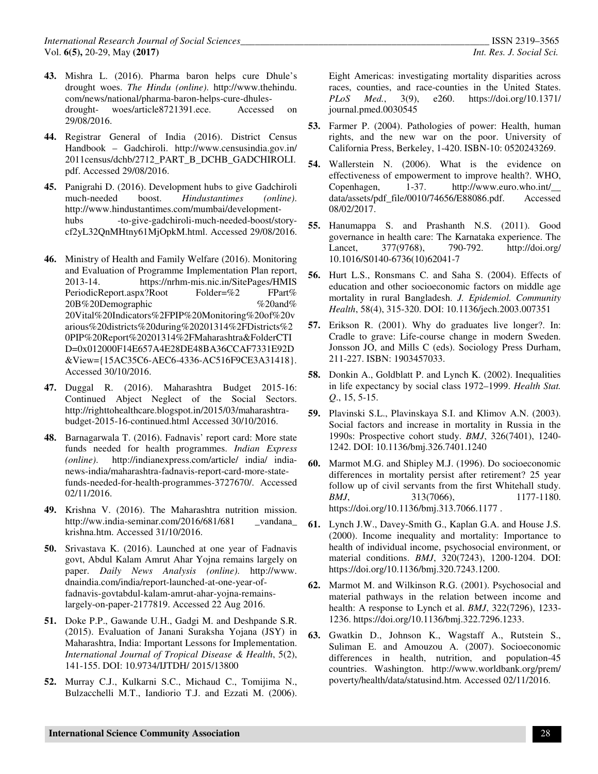- **43.** Mishra L. (2016). Pharma baron helps cure Dhule's drought woes. *The Hindu (online)*. http://www.thehindu. com/news/national/pharma-baron-helps-cure-dhulesdrought- woes/article8721391.ece. Accessed on 29/08/2016.
- **44.** Registrar General of India (2016). District Census Handbook – Gadchiroli. http://www.censusindia.gov.in/ 2011census/dchb/2712\_PART\_B\_DCHB\_GADCHIROLI. pdf. Accessed 29/08/2016.
- **45.** Panigrahi D. (2016). Development hubs to give Gadchiroli much-needed boost. *Hindustantimes (online)*. http://www.hindustantimes.com/mumbai/developmenthubs -to-give-gadchiroli-much-needed-boost/storycf2yL32QnMHtny61MjOpkM.html. Accessed 29/08/2016.
- **46.** Ministry of Health and Family Welfare (2016). Monitoring and Evaluation of Programme Implementation Plan report, 2013-14. https://nrhm-mis.nic.in/SitePages/HMIS PeriodicReport.aspx?Root Folder=%2 FPart% 20B%20Demographic %20and% 20Vital%20Indicators%2FPIP%20Monitoring%20of%20v arious%20districts%20during%20201314%2FDistricts%2 0PIP%20Report%20201314%2FMaharashtra&FolderCTI D=0x012000F14E657A4E28DE48BA36CCAF7331E92D &View={15AC35C6-AEC6-4336-AC516F9CE3A31418}. Accessed 30/10/2016.
- **47.** Duggal R. (2016). Maharashtra Budget 2015-16: Continued Abject Neglect of the Social Sectors. http://righttohealthcare.blogspot.in/2015/03/maharashtrabudget-2015-16-continued.html Accessed 30/10/2016.
- **48.** Barnagarwala T. (2016). Fadnavis' report card: More state funds needed for health programmes. *Indian Express (online)*. http://indianexpress.com/article/ india/ indianews-india/maharashtra-fadnavis-report-card-more-statefunds-needed-for-health-programmes-3727670/. Accessed 02/11/2016.
- **49.** Krishna V. (2016). The Maharashtra nutrition mission. http://ww.india-seminar.com/2016/681/681 vandana krishna.htm. Accessed 31/10/2016.
- **50.** Srivastava K. (2016). Launched at one year of Fadnavis govt, Abdul Kalam Amrut Ahar Yojna remains largely on paper. *Daily News Analysis (online)*. http://www. dnaindia.com/india/report-launched-at-one-year-offadnavis-govtabdul-kalam-amrut-ahar-yojna-remainslargely-on-paper-2177819. Accessed 22 Aug 2016.
- **51.** Doke P.P., Gawande U.H., Gadgi M. and Deshpande S.R. (2015). Evaluation of Janani Suraksha Yojana (JSY) in Maharashtra, India: Important Lessons for Implementation. *International Journal of Tropical Disease & Health*, 5(2), 141-155. DOI: 10.9734/IJTDH/ 2015/13800
- **52.** Murray C.J., Kulkarni S.C., Michaud C., Tomijima N., Bulzacchelli M.T., Iandiorio T.J. and Ezzati M. (2006).

Eight Americas: investigating mortality disparities across races, counties, and race-counties in the United States.<br>PLoS Med., 3(9), e260. https://doi.org/10.1371/ *PLoS Med.*, 3(9), e260. https://doi.org/10.1371/ journal.pmed.0030545

- **53.** Farmer P. (2004). Pathologies of power: Health, human rights, and the new war on the poor. University of California Press, Berkeley, 1-420. ISBN-10: 0520243269.
- **54.** Wallerstein N. (2006). What is the evidence on effectiveness of empowerment to improve health?. WHO, Copenhagen, 1-37. http://www.euro.who.int/\_\_ data/assets/pdf\_file/0010/74656/E88086.pdf. Accessed 08/02/2017.
- **55.** Hanumappa S. and Prashanth N.S. (2011). Good governance in health care: The Karnataka experience. The Lancet, 377(9768), 790-792. http://doi.org/ 10.1016/S0140-6736(10)62041-7
- **56.** Hurt L.S., Ronsmans C. and Saha S. (2004). Effects of education and other socioeconomic factors on middle age mortality in rural Bangladesh. *J. Epidemiol. Community Health*, 58(4), 315-320. DOI: 10.1136/jech.2003.007351
- **57.** Erikson R. (2001). Why do graduates live longer?. In: Cradle to grave: Life-course change in modern Sweden. Jonsson JO, and Mills C (eds). Sociology Press Durham, 211-227. ISBN: 1903457033.
- **58.** Donkin A., Goldblatt P. and Lynch K. (2002). Inequalities in life expectancy by social class 1972–1999. *Health Stat. Q*., 15, 5-15.
- **59.** Plavinski S.L., Plavinskaya S.I. and Klimov A.N. (2003). Social factors and increase in mortality in Russia in the 1990s: Prospective cohort study. *BMJ*, 326(7401), 1240- 1242. DOI: 10.1136/bmj.326.7401.1240
- **60.** Marmot M.G. and Shipley M.J. (1996). Do socioeconomic differences in mortality persist after retirement? 25 year follow up of civil servants from the first Whitehall study. *BMJ*, 313(7066), 1177-1180. https://doi.org/10.1136/bmj.313.7066.1177 .
- **61.** Lynch J.W., Davey-Smith G., Kaplan G.A. and House J.S. (2000). Income inequality and mortality: Importance to health of individual income, psychosocial environment, or material conditions. *BMJ*, 320(7243), 1200-1204. DOI: https://doi.org/10.1136/bmj.320.7243.1200.
- **62.** Marmot M. and Wilkinson R.G. (2001). Psychosocial and material pathways in the relation between income and health: A response to Lynch et al. *BMJ*, 322(7296), 1233- 1236. https://doi.org/10.1136/bmj.322.7296.1233.
- **63.** Gwatkin D., Johnson K., Wagstaff A., Rutstein S., Suliman E. and Amouzou A. (2007). Socioeconomic differences in health, nutrition, and population-45 countries. Washington. http://www.worldbank.org/prem/ poverty/health/data/statusind.htm. Accessed 02/11/2016.